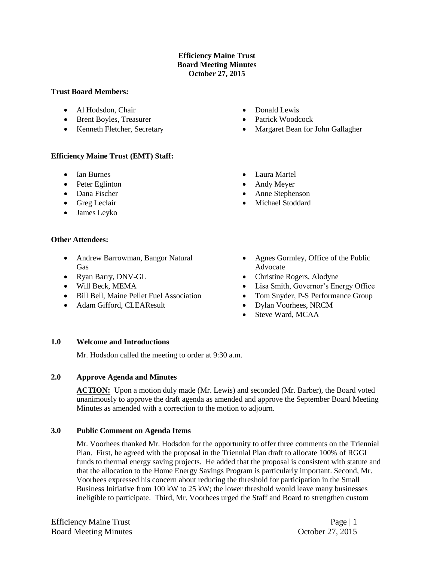## **Efficiency Maine Trust Board Meeting Minutes October 27, 2015**

#### **Trust Board Members:**

- Al Hodsdon, Chair
- Brent Boyles, Treasurer
- Kenneth Fletcher, Secretary

## **Efficiency Maine Trust (EMT) Staff:**

- Ian Burnes
- Peter Eglinton
- Dana Fischer
- Greg Leclair
- James Leyko

## **Other Attendees:**

- Andrew Barrowman, Bangor Natural Gas
- Ryan Barry, DNV-GL
- Will Beck, MEMA
- Bill Bell, Maine Pellet Fuel Association
- Adam Gifford, CLEAResult
- Donald Lewis
- Patrick Woodcock
- Margaret Bean for John Gallagher
- Laura Martel
- Andy Meyer
- Anne Stephenson
- Michael Stoddard
- Agnes Gormley, Office of the Public Advocate
- Christine Rogers, Alodyne
- Lisa Smith, Governor's Energy Office
- Tom Snyder, P-S Performance Group
- Dylan Voorhees, NRCM
- Steve Ward, MCAA

## **1.0 Welcome and Introductions**

Mr. Hodsdon called the meeting to order at 9:30 a.m.

## **2.0 Approve Agenda and Minutes**

ACTION: Upon a motion duly made (Mr. Lewis) and seconded (Mr. Barber), the Board voted unanimously to approve the draft agenda as amended and approve the September Board Meeting Minutes as amended with a correction to the motion to adjourn.

## **3.0 Public Comment on Agenda Items**

Mr. Voorhees thanked Mr. Hodsdon for the opportunity to offer three comments on the Triennial Plan. First, he agreed with the proposal in the Triennial Plan draft to allocate 100% of RGGI funds to thermal energy saving projects. He added that the proposal is consistent with statute and that the allocation to the Home Energy Savings Program is particularly important. Second, Mr. Voorhees expressed his concern about reducing the threshold for participation in the Small Business Initiative from 100 kW to 25 kW; the lower threshold would leave many businesses ineligible to participate. Third, Mr. Voorhees urged the Staff and Board to strengthen custom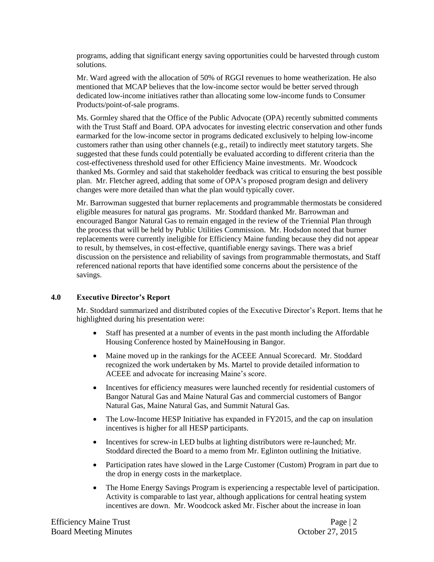programs, adding that significant energy saving opportunities could be harvested through custom solutions.

Mr. Ward agreed with the allocation of 50% of RGGI revenues to home weatherization. He also mentioned that MCAP believes that the low-income sector would be better served through dedicated low-income initiatives rather than allocating some low-income funds to Consumer Products/point-of-sale programs.

Ms. Gormley shared that the Office of the Public Advocate (OPA) recently submitted comments with the Trust Staff and Board. OPA advocates for investing electric conservation and other funds earmarked for the low-income sector in programs dedicated exclusively to helping low-income customers rather than using other channels (e.g., retail) to indirectly meet statutory targets. She suggested that these funds could potentially be evaluated according to different criteria than the cost-effectiveness threshold used for other Efficiency Maine investments. Mr. Woodcock thanked Ms. Gormley and said that stakeholder feedback was critical to ensuring the best possible plan. Mr. Fletcher agreed, adding that some of OPA's proposed program design and delivery changes were more detailed than what the plan would typically cover.

Mr. Barrowman suggested that burner replacements and programmable thermostats be considered eligible measures for natural gas programs. Mr. Stoddard thanked Mr. Barrowman and encouraged Bangor Natural Gas to remain engaged in the review of the Triennial Plan through the process that will be held by Public Utilities Commission. Mr. Hodsdon noted that burner replacements were currently ineligible for Efficiency Maine funding because they did not appear to result, by themselves, in cost-effective, quantifiable energy savings. There was a brief discussion on the persistence and reliability of savings from programmable thermostats, and Staff referenced national reports that have identified some concerns about the persistence of the savings.

# **4.0 Executive Director's Report**

Mr. Stoddard summarized and distributed copies of the Executive Director's Report. Items that he highlighted during his presentation were:

- Staff has presented at a number of events in the past month including the Affordable Housing Conference hosted by MaineHousing in Bangor.
- Maine moved up in the rankings for the ACEEE Annual Scorecard. Mr. Stoddard recognized the work undertaken by Ms. Martel to provide detailed information to ACEEE and advocate for increasing Maine's score.
- Incentives for efficiency measures were launched recently for residential customers of Bangor Natural Gas and Maine Natural Gas and commercial customers of Bangor Natural Gas, Maine Natural Gas, and Summit Natural Gas.
- The Low-Income HESP Initiative has expanded in FY2015, and the cap on insulation incentives is higher for all HESP participants.
- Incentives for screw-in LED bulbs at lighting distributors were re-launched; Mr. Stoddard directed the Board to a memo from Mr. Eglinton outlining the Initiative.
- Participation rates have slowed in the Large Customer (Custom) Program in part due to the drop in energy costs in the marketplace.
- The Home Energy Savings Program is experiencing a respectable level of participation. Activity is comparable to last year, although applications for central heating system incentives are down. Mr. Woodcock asked Mr. Fischer about the increase in loan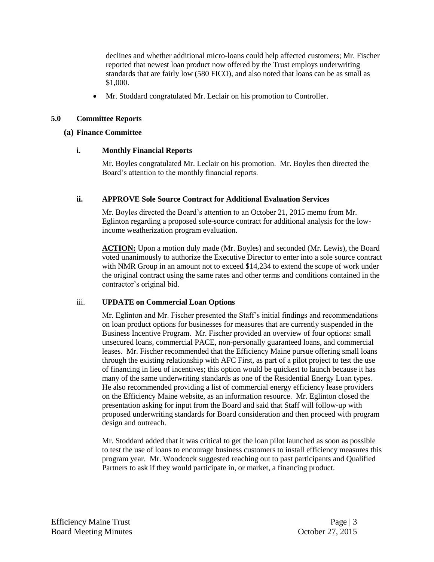declines and whether additional micro-loans could help affected customers; Mr. Fischer reported that newest loan product now offered by the Trust employs underwriting standards that are fairly low (580 FICO), and also noted that loans can be as small as \$1,000.

Mr. Stoddard congratulated Mr. Leclair on his promotion to Controller.

# **5.0 Committee Reports**

## **(a) Finance Committee**

## **i. Monthly Financial Reports**

Mr. Boyles congratulated Mr. Leclair on his promotion. Mr. Boyles then directed the Board's attention to the monthly financial reports.

## **ii. APPROVE Sole Source Contract for Additional Evaluation Services**

Mr. Boyles directed the Board's attention to an October 21, 2015 memo from Mr. Eglinton regarding a proposed sole-source contract for additional analysis for the lowincome weatherization program evaluation.

**ACTION:** Upon a motion duly made (Mr. Boyles) and seconded (Mr. Lewis), the Board voted unanimously to authorize the Executive Director to enter into a sole source contract with NMR Group in an amount not to exceed \$14,234 to extend the scope of work under the original contract using the same rates and other terms and conditions contained in the contractor's original bid.

## iii. **UPDATE on Commercial Loan Options**

Mr. Eglinton and Mr. Fischer presented the Staff's initial findings and recommendations on loan product options for businesses for measures that are currently suspended in the Business Incentive Program. Mr. Fischer provided an overview of four options: small unsecured loans, commercial PACE, non-personally guaranteed loans, and commercial leases. Mr. Fischer recommended that the Efficiency Maine pursue offering small loans through the existing relationship with AFC First, as part of a pilot project to test the use of financing in lieu of incentives; this option would be quickest to launch because it has many of the same underwriting standards as one of the Residential Energy Loan types. He also recommended providing a list of commercial energy efficiency lease providers on the Efficiency Maine website, as an information resource. Mr. Eglinton closed the presentation asking for input from the Board and said that Staff will follow-up with proposed underwriting standards for Board consideration and then proceed with program design and outreach.

Mr. Stoddard added that it was critical to get the loan pilot launched as soon as possible to test the use of loans to encourage business customers to install efficiency measures this program year. Mr. Woodcock suggested reaching out to past participants and Qualified Partners to ask if they would participate in, or market, a financing product.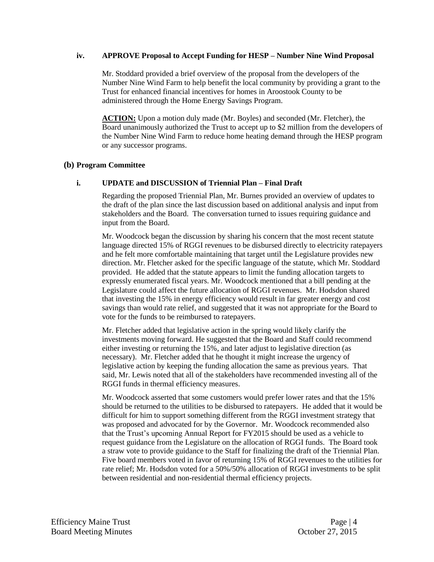## **iv. APPROVE Proposal to Accept Funding for HESP – Number Nine Wind Proposal**

Mr. Stoddard provided a brief overview of the proposal from the developers of the Number Nine Wind Farm to help benefit the local community by providing a grant to the Trust for enhanced financial incentives for homes in Aroostook County to be administered through the Home Energy Savings Program.

**ACTION:** Upon a motion duly made (Mr. Boyles) and seconded (Mr. Fletcher), the Board unanimously authorized the Trust to accept up to \$2 million from the developers of the Number Nine Wind Farm to reduce home heating demand through the HESP program or any successor programs.

## **(b) Program Committee**

# **i. UPDATE and DISCUSSION of Triennial Plan – Final Draft**

Regarding the proposed Triennial Plan, Mr. Burnes provided an overview of updates to the draft of the plan since the last discussion based on additional analysis and input from stakeholders and the Board. The conversation turned to issues requiring guidance and input from the Board.

Mr. Woodcock began the discussion by sharing his concern that the most recent statute language directed 15% of RGGI revenues to be disbursed directly to electricity ratepayers and he felt more comfortable maintaining that target until the Legislature provides new direction. Mr. Fletcher asked for the specific language of the statute, which Mr. Stoddard provided. He added that the statute appears to limit the funding allocation targets to expressly enumerated fiscal years. Mr. Woodcock mentioned that a bill pending at the Legislature could affect the future allocation of RGGI revenues. Mr. Hodsdon shared that investing the 15% in energy efficiency would result in far greater energy and cost savings than would rate relief, and suggested that it was not appropriate for the Board to vote for the funds to be reimbursed to ratepayers.

Mr. Fletcher added that legislative action in the spring would likely clarify the investments moving forward. He suggested that the Board and Staff could recommend either investing or returning the 15%, and later adjust to legislative direction (as necessary). Mr. Fletcher added that he thought it might increase the urgency of legislative action by keeping the funding allocation the same as previous years. That said, Mr. Lewis noted that all of the stakeholders have recommended investing all of the RGGI funds in thermal efficiency measures.

Mr. Woodcock asserted that some customers would prefer lower rates and that the 15% should be returned to the utilities to be disbursed to ratepayers. He added that it would be difficult for him to support something different from the RGGI investment strategy that was proposed and advocated for by the Governor. Mr. Woodcock recommended also that the Trust's upcoming Annual Report for FY2015 should be used as a vehicle to request guidance from the Legislature on the allocation of RGGI funds. The Board took a straw vote to provide guidance to the Staff for finalizing the draft of the Triennial Plan. Five board members voted in favor of returning 15% of RGGI revenues to the utilities for rate relief; Mr. Hodsdon voted for a 50%/50% allocation of RGGI investments to be split between residential and non-residential thermal efficiency projects.